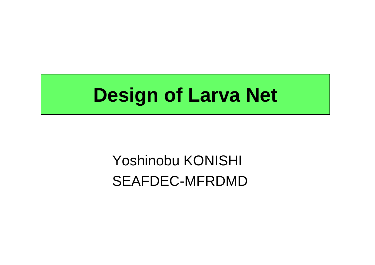# **Design of Larva Net**

## Yoshinobu KONISHI SEAFDEC-MFRDMD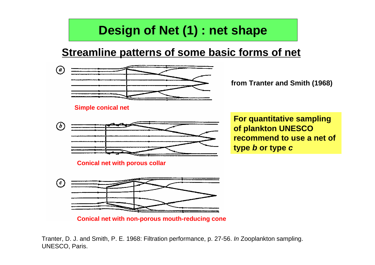## **Design of Net (1) : net shape**

#### **Streamline patterns of some basic forms of net**



**from Tranter and Smith (1968)**

**Conical net with non-porous mouth-reducing cone**

Tranter, D. J. and Smith, P. E. 1968: Filtration performance, p. 27-56. *In* Zooplankton sampling. UNESCO, Paris.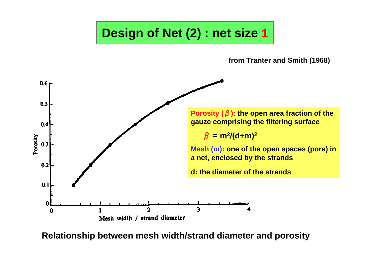### **Design of Net (2) : net size 1**

**from Tranter and Smith (1968)**



**Relationship between mesh width/strand diameter and porosity**